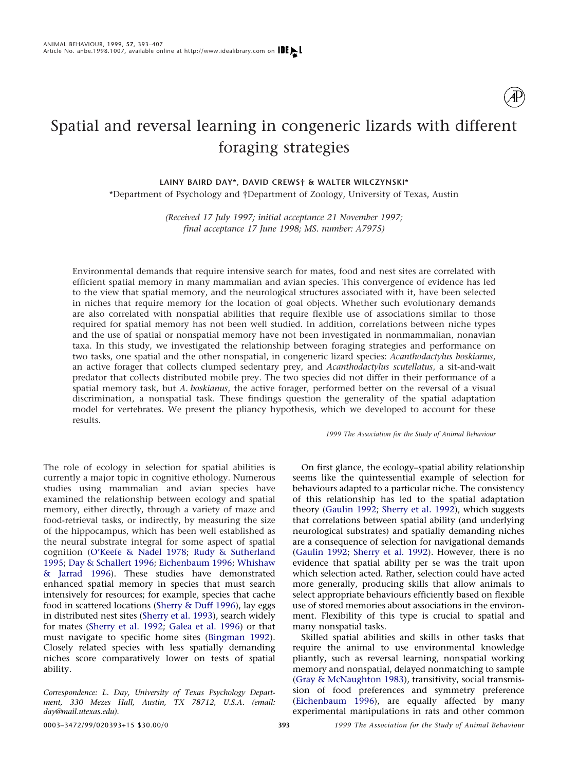

# Spatial and reversal learning in congeneric lizards with different foraging strategies

**LAINY BAIRD DAY\*, DAVID CREWS† & WALTER WILCZYNSKI\*** \*Department of Psychology and †Department of Zoology, University of Texas, Austin

> *(Received 17 July 1997; initial acceptance 21 November 1997; final acceptance 17 June 1998; MS. number: A7975)*

Environmental demands that require intensive search for mates, food and nest sites are correlated with efficient spatial memory in many mammalian and avian species. This convergence of evidence has led to the view that spatial memory, and the neurological structures associated with it, have been selected in niches that require memory for the location of goal objects. Whether such evolutionary demands are also correlated with nonspatial abilities that require flexible use of associations similar to those required for spatial memory has not been well studied. In addition, correlations between niche types and the use of spatial or nonspatial memory have not been investigated in nonmammalian, nonavian taxa. In this study, we investigated the relationship between foraging strategies and performance on two tasks, one spatial and the other nonspatial, in congeneric lizard species: *Acanthodactylus boskianus*, an active forager that collects clumped sedentary prey, and *Acanthodactylus scutellatus*, a sit-and-wait predator that collects distributed mobile prey. The two species did not differ in their performance of a spatial memory task, but *A. boskianus*, the active forager, performed better on the reversal of a visual discrimination, a nonspatial task. These findings question the generality of the spatial adaptation model for vertebrates. We present the pliancy hypothesis, which we developed to account for these results.

The role of ecology in selection for spatial abilities is currently a major topic in cognitive ethology. Numerous studies using mammalian and avian species have examined the relationship between ecology and spatial memory, either directly, through a variety of maze and food-retrieval tasks, or indirectly, by measuring the size of the hippocampus, which has been well established as the neural substrate integral for some aspect of spatial cognition [\(O'Keefe & Nadel 1978;](#page-14-0) [Rudy & Sutherland](#page-14-1) [1995;](#page-14-1) [Day & Schallert 1996;](#page-14-2) [Eichenbaum 1996;](#page-14-3) [Whishaw](#page-14-4) [& Jarrad 1996\)](#page-14-4). These studies have demonstrated enhanced spatial memory in species that must search intensively for resources; for example, species that cache food in scattered locations [\(Sherry & Duff 1996\)](#page-14-5), lay eggs in distributed nest sites [\(Sherry et al. 1993\)](#page-14-6), search widely for mates [\(Sherry et al. 1992;](#page-14-7) [Galea et al. 1996\)](#page-14-8) or that must navigate to specific home sites [\(Bingman 1992\)](#page-14-9). Closely related species with less spatially demanding niches score comparatively lower on tests of spatial ability.

*Correspondence: L. Day, University of Texas Psychology Department, 330 Mezes Hall, Austin, TX 78712, U.S.A. (email: day@mail.utexas.edu).*

*1999 The Association for the Study of Animal Behaviour*

On first glance, the ecology–spatial ability relationship seems like the quintessential example of selection for behaviours adapted to a particular niche. The consistency of this relationship has led to the spatial adaptation theory [\(Gaulin 1992;](#page-14-10) [Sherry et al. 1992\)](#page-14-7), which suggests that correlations between spatial ability (and underlying neurological substrates) and spatially demanding niches are a consequence of selection for navigational demands [\(Gaulin 1992;](#page-14-10) [Sherry et al. 1992\)](#page-14-7). However, there is no evidence that spatial ability per se was the trait upon which selection acted. Rather, selection could have acted more generally, producing skills that allow animals to select appropriate behaviours efficiently based on flexible use of stored memories about associations in the environment. Flexibility of this type is crucial to spatial and many nonspatial tasks.

Skilled spatial abilities and skills in other tasks that require the animal to use environmental knowledge pliantly, such as reversal learning, nonspatial working memory and nonspatial, delayed nonmatching to sample [\(Gray & McNaughton 1983\)](#page-14-11), transitivity, social transmission of food preferences and symmetry preference [\(Eichenbaum 1996\)](#page-14-3), are equally affected by many experimental manipulations in rats and other common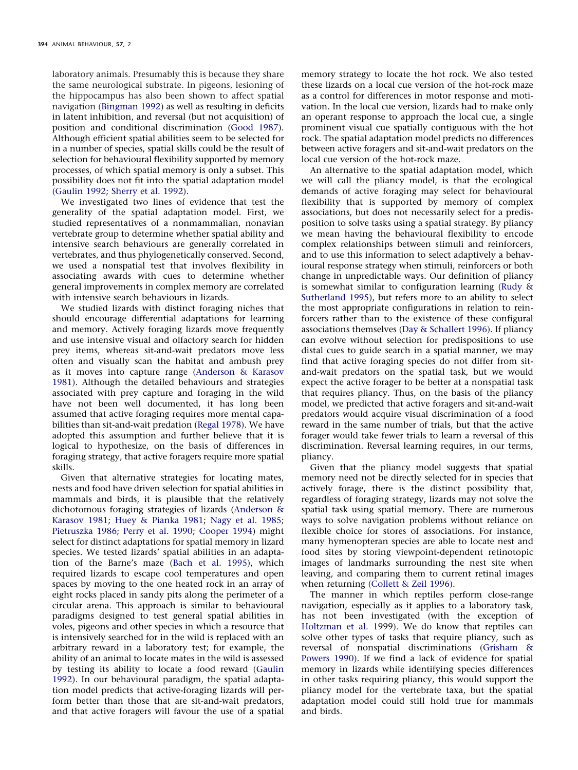laboratory animals. Presumably this is because they share the same neurological substrate. In pigeons, lesioning of the hippocampus has also been shown to affect spatial navigation [\(Bingman 1992\)](#page-14-9) as well as resulting in deficits in latent inhibition, and reversal (but not acquisition) of position and conditional discrimination [\(Good 1987\)](#page-14-12). Although efficient spatial abilities seem to be selected for in a number of species, spatial skills could be the result of selection for behavioural flexibility supported by memory processes, of which spatial memory is only a subset. This possibility does not fit into the spatial adaptation model [\(Gaulin 1992;](#page-14-10) [Sherry et al. 1992\)](#page-14-7).

We investigated two lines of evidence that test the generality of the spatial adaptation model. First, we studied representatives of a nonmammalian, nonavian vertebrate group to determine whether spatial ability and intensive search behaviours are generally correlated in vertebrates, and thus phylogenetically conserved. Second, we used a nonspatial test that involves flexibility in associating awards with cues to determine whether general improvements in complex memory are correlated with intensive search behaviours in lizards.

We studied lizards with distinct foraging niches that should encourage differential adaptations for learning and memory. Actively foraging lizards move frequently and use intensive visual and olfactory search for hidden prey items, whereas sit-and-wait predators move less often and visually scan the habitat and ambush prey as it moves into capture range [\(Anderson & Karasov](#page-14-13) [1981\)](#page-14-13). Although the detailed behaviours and strategies associated with prey capture and foraging in the wild have not been well documented, it has long been assumed that active foraging requires more mental capabilities than sit-and-wait predation [\(Regal 1978\)](#page-14-14). We have adopted this assumption and further believe that it is logical to hypothesize, on the basis of differences in foraging strategy, that active foragers require more spatial skills.

Given that alternative strategies for locating mates, nests and food have driven selection for spatial abilities in mammals and birds, it is plausible that the relatively dichotomous foraging strategies of lizards [\(Anderson &](#page-14-13) [Karasov 1981;](#page-14-13) [Huey & Pianka 1981;](#page-14-15) [Nagy et al. 1985;](#page-14-16) [Pietruszka 1986;](#page-14-17) [Perry et al. 1990;](#page-14-18) [Cooper 1994\)](#page-14-19) might select for distinct adaptations for spatial memory in lizard species. We tested lizards' spatial abilities in an adaptation of the Barne's maze [\(Bach et al. 1995\)](#page-14-20), which required lizards to escape cool temperatures and open spaces by moving to the one heated rock in an array of eight rocks placed in sandy pits along the perimeter of a circular arena. This approach is similar to behavioural paradigms designed to test general spatial abilities in voles, pigeons and other species in which a resource that is intensively searched for in the wild is replaced with an arbitrary reward in a laboratory test; for example, the ability of an animal to locate mates in the wild is assessed by testing its ability to locate a food reward [\(Gaulin](#page-14-10) [1992\)](#page-14-10). In our behavioural paradigm, the spatial adaptation model predicts that active-foraging lizards will perform better than those that are sit-and-wait predators, and that active foragers will favour the use of a spatial memory strategy to locate the hot rock. We also tested these lizards on a local cue version of the hot-rock maze as a control for differences in motor response and motivation. In the local cue version, lizards had to make only an operant response to approach the local cue, a single prominent visual cue spatially contiguous with the hot rock. The spatial adaptation model predicts no differences between active foragers and sit-and-wait predators on the local cue version of the hot-rock maze.

An alternative to the spatial adaptation model, which we will call the pliancy model, is that the ecological demands of active foraging may select for behavioural flexibility that is supported by memory of complex associations, but does not necessarily select for a predisposition to solve tasks using a spatial strategy. By pliancy we mean having the behavioural flexibility to encode complex relationships between stimuli and reinforcers, and to use this information to select adaptively a behavioural response strategy when stimuli, reinforcers or both change in unpredictable ways. Our definition of pliancy is somewhat similar to configuration learning [\(Rudy &](#page-14-1) [Sutherland 1995\)](#page-14-1), but refers more to an ability to select the most appropriate configurations in relation to reinforcers rather than to the existence of these configural associations themselves [\(Day & Schallert 1996\)](#page-14-2). If pliancy can evolve without selection for predispositions to use distal cues to guide search in a spatial manner, we may find that active foraging species do not differ from sitand-wait predators on the spatial task, but we would expect the active forager to be better at a nonspatial task that requires pliancy. Thus, on the basis of the pliancy model, we predicted that active foragers and sit-and-wait predators would acquire visual discrimination of a food reward in the same number of trials, but that the active forager would take fewer trials to learn a reversal of this discrimination. Reversal learning requires, in our terms, pliancy.

Given that the pliancy model suggests that spatial memory need not be directly selected for in species that actively forage, there is the distinct possibility that, regardless of foraging strategy, lizards may not solve the spatial task using spatial memory. There are numerous ways to solve navigation problems without reliance on flexible choice for stores of associations. For instance, many hymenopteran species are able to locate nest and food sites by storing viewpoint-dependent retinotopic images of landmarks surrounding the nest site when leaving, and comparing them to current retinal images when returning [\(Collett & Zeil 1996\)](#page-14-21).

The manner in which reptiles perform close-range navigation, especially as it applies to a laboratory task, has not been investigated (with the exception of [Holtzman et al.](#page-14-22) 1999). We do know that reptiles can solve other types of tasks that require pliancy, such as reversal of nonspatial discriminations [\(Grisham &](#page-14-23) [Powers 1990\)](#page-14-23). If we find a lack of evidence for spatial memory in lizards while identifying species differences in other tasks requiring pliancy, this would support the pliancy model for the vertebrate taxa, but the spatial adaptation model could still hold true for mammals and birds.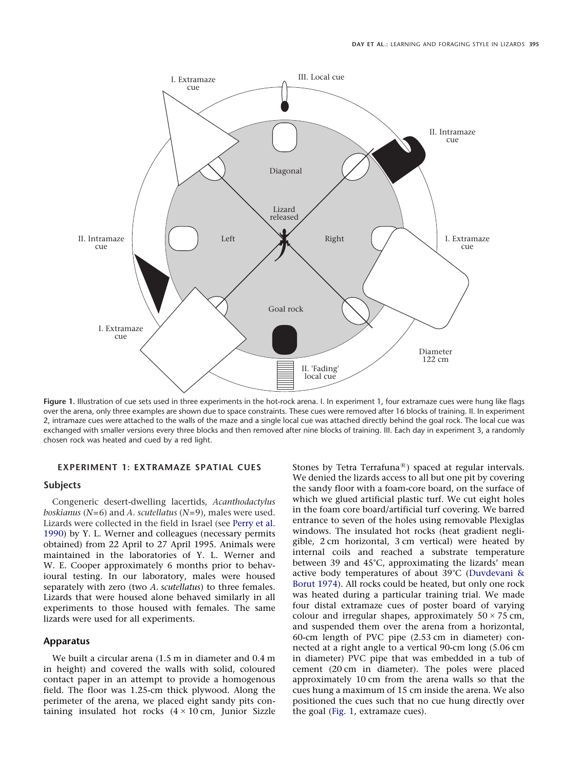<span id="page-2-0"></span>

Figure 1. Illustration of cue sets used in three experiments in the hot-rock arena. I. In experiment 1, four extramaze cues were hung like flags over the arena, only three examples are shown due to space constraints. These cues were removed after 16 blocks of training. II. In experiment 2, intramaze cues were attached to the walls of the maze and a single local cue was attached directly behind the goal rock. The local cue was exchanged with smaller versions every three blocks and then removed after nine blocks of training. III. Each day in experiment 3, a randomly chosen rock was heated and cued by a red light.

## **EXPERIMENT 1: EXTRAMAZE SPATIAL CUES**

## **Subjects**

Congeneric desert-dwelling lacertids, *Acanthodactylus boskianus* (*N*=6) and *A. scutellatus* (*N*=9), males were used. Lizards were collected in the field in Israel (see [Perry et al.](#page-14-18) [1990\)](#page-14-18) by Y. L. Werner and colleagues (necessary permits obtained) from 22 April to 27 April 1995. Animals were maintained in the laboratories of Y. L. Werner and W. E. Cooper approximately 6 months prior to behavioural testing. In our laboratory, males were housed separately with zero (two *A. scutellatus*) to three females. Lizards that were housed alone behaved similarly in all experiments to those housed with females. The same lizards were used for all experiments.

## **Apparatus**

We built a circular arena (1.5 m in diameter and 0.4 m in height) and covered the walls with solid, coloured contact paper in an attempt to provide a homogenous field. The floor was 1.25-cm thick plywood. Along the perimeter of the arena, we placed eight sandy pits containing insulated hot rocks  $(4 \times 10 \text{ cm})$ , Junior Sizzle Stones by Tetra Terrafuna®) spaced at regular intervals. We denied the lizards access to all but one pit by covering the sandy floor with a foam-core board, on the surface of which we glued artificial plastic turf. We cut eight holes in the foam core board/artificial turf covering. We barred entrance to seven of the holes using removable Plexiglas windows. The insulated hot rocks (heat gradient negligible, 2 cm horizontal, 3 cm vertical) were heated by internal coils and reached a substrate temperature between 39 and 45°C, approximating the lizards' mean active body temperatures of about 39°C [\(Duvdevani &](#page-14-24) [Borut 1974\)](#page-14-24). All rocks could be heated, but only one rock was heated during a particular training trial. We made four distal extramaze cues of poster board of varying colour and irregular shapes, approximately  $50 \times 75$  cm, and suspended them over the arena from a horizontal, 60-cm length of PVC pipe (2.53 cm in diameter) connected at a right angle to a vertical 90-cm long (5.06 cm in diameter) PVC pipe that was embedded in a tub of cement (20 cm in diameter). The poles were placed approximately 10 cm from the arena walls so that the cues hung a maximum of 15 cm inside the arena. We also positioned the cues such that no cue hung directly over the goal [\(Fig. 1,](#page-2-0) extramaze cues).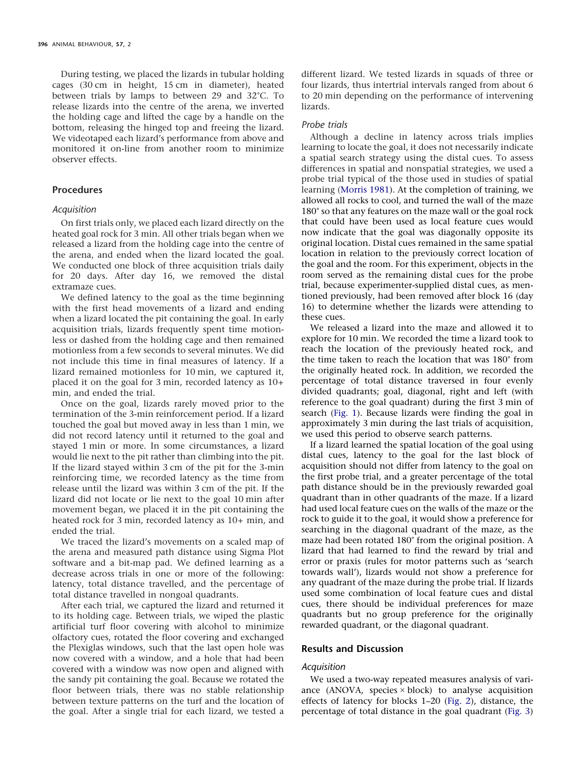During testing, we placed the lizards in tubular holding cages (30 cm in height, 15 cm in diameter), heated between trials by lamps to between  $29$  and  $32^{\circ}$ C. To release lizards into the centre of the arena, we inverted the holding cage and lifted the cage by a handle on the bottom, releasing the hinged top and freeing the lizard. We videotaped each lizard's performance from above and monitored it on-line from another room to minimize observer effects.

## **Procedures**

## *Acquisition*

On first trials only, we placed each lizard directly on the heated goal rock for 3 min. All other trials began when we released a lizard from the holding cage into the centre of the arena, and ended when the lizard located the goal. We conducted one block of three acquisition trials daily for 20 days. After day 16, we removed the distal extramaze cues.

We defined latency to the goal as the time beginning with the first head movements of a lizard and ending when a lizard located the pit containing the goal. In early acquisition trials, lizards frequently spent time motionless or dashed from the holding cage and then remained motionless from a few seconds to several minutes. We did not include this time in final measures of latency. If a lizard remained motionless for 10 min, we captured it, placed it on the goal for 3 min, recorded latency as 10+ min, and ended the trial.

Once on the goal, lizards rarely moved prior to the termination of the 3-min reinforcement period. If a lizard touched the goal but moved away in less than 1 min, we did not record latency until it returned to the goal and stayed 1 min or more. In some circumstances, a lizard would lie next to the pit rather than climbing into the pit. If the lizard stayed within 3 cm of the pit for the 3-min reinforcing time, we recorded latency as the time from release until the lizard was within 3 cm of the pit. If the lizard did not locate or lie next to the goal 10 min after movement began, we placed it in the pit containing the heated rock for 3 min, recorded latency as 10+ min, and ended the trial.

We traced the lizard's movements on a scaled map of the arena and measured path distance using Sigma Plot software and a bit-map pad. We defined learning as a decrease across trials in one or more of the following: latency, total distance travelled, and the percentage of total distance travelled in nongoal quadrants.

After each trial, we captured the lizard and returned it to its holding cage. Between trials, we wiped the plastic artificial turf floor covering with alcohol to minimize olfactory cues, rotated the floor covering and exchanged the Plexiglas windows, such that the last open hole was now covered with a window, and a hole that had been covered with a window was now open and aligned with the sandy pit containing the goal. Because we rotated the floor between trials, there was no stable relationship between texture patterns on the turf and the location of the goal. After a single trial for each lizard, we tested a different lizard. We tested lizards in squads of three or four lizards, thus intertrial intervals ranged from about 6 to 20 min depending on the performance of intervening lizards.

#### *Probe trials*

Although a decline in latency across trials implies learning to locate the goal, it does not necessarily indicate a spatial search strategy using the distal cues. To assess differences in spatial and nonspatial strategies, we used a probe trial typical of the those used in studies of spatial learning [\(Morris 1981\)](#page-14-25). At the completion of training, we allowed all rocks to cool, and turned the wall of the maze 180° so that any features on the maze wall or the goal rock that could have been used as local feature cues would now indicate that the goal was diagonally opposite its original location. Distal cues remained in the same spatial location in relation to the previously correct location of the goal and the room. For this experiment, objects in the room served as the remaining distal cues for the probe trial, because experimenter-supplied distal cues, as mentioned previously, had been removed after block 16 (day 16) to determine whether the lizards were attending to these cues.

We released a lizard into the maze and allowed it to explore for 10 min. We recorded the time a lizard took to reach the location of the previously heated rock, and the time taken to reach the location that was 180° from the originally heated rock. In addition, we recorded the percentage of total distance traversed in four evenly divided quadrants; goal, diagonal, right and left (with reference to the goal quadrant) during the first 3 min of search [\(Fig. 1\)](#page-2-0). Because lizards were finding the goal in approximately 3 min during the last trials of acquisition, we used this period to observe search patterns.

If a lizard learned the spatial location of the goal using distal cues, latency to the goal for the last block of acquisition should not differ from latency to the goal on the first probe trial, and a greater percentage of the total path distance should be in the previously rewarded goal quadrant than in other quadrants of the maze. If a lizard had used local feature cues on the walls of the maze or the rock to guide it to the goal, it would show a preference for searching in the diagonal quadrant of the maze, as the maze had been rotated 180° from the original position. A lizard that had learned to find the reward by trial and error or praxis (rules for motor patterns such as 'search towards wall'), lizards would not show a preference for any quadrant of the maze during the probe trial. If lizards used some combination of local feature cues and distal cues, there should be individual preferences for maze quadrants but no group preference for the originally rewarded quadrant, or the diagonal quadrant.

## **Results and Discussion**

#### *Acquisition*

We used a two-way repeated measures analysis of variance (ANOVA, species  $\times$  block) to analyse acquisition effects of latency for blocks 1–20 [\(Fig. 2\)](#page-4-0), distance, the percentage of total distance in the goal quadrant [\(Fig. 3\)](#page-4-1)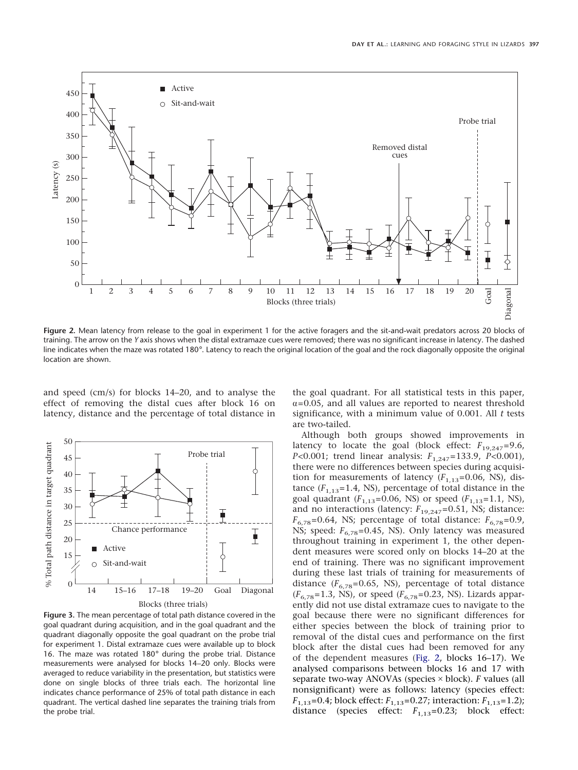<span id="page-4-0"></span>

**Figure 2.** Mean latency from release to the goal in experiment 1 for the active foragers and the sit-and-wait predators across 20 blocks of training. The arrow on the *Y* axis shows when the distal extramaze cues were removed; there was no significant increase in latency. The dashed line indicates when the maze was rotated 180°. Latency to reach the original location of the goal and the rock diagonally opposite the original location are shown.

and speed (cm/s) for blocks 14–20, and to analyse the effect of removing the distal cues after block 16 on latency, distance and the percentage of total distance in

<span id="page-4-1"></span>

**Figure 3.** The mean percentage of total path distance covered in the goal quadrant during acquisition, and in the goal quadrant and the quadrant diagonally opposite the goal quadrant on the probe trial for experiment 1. Distal extramaze cues were available up to block 16. The maze was rotated 180° during the probe trial. Distance measurements were analysed for blocks 14–20 only. Blocks were averaged to reduce variability in the presentation, but statistics were done on single blocks of three trials each. The horizontal line indicates chance performance of 25% of total path distance in each quadrant. The vertical dashed line separates the training trials from the probe trial.

the goal quadrant. For all statistical tests in this paper,  $\alpha$ =0.05, and all values are reported to nearest threshold significance, with a minimum value of 0.001. All *t* tests are two-tailed.

Although both groups showed improvements in latency to locate the goal (block effect:  $F_{19,247}$ =9.6, *P<*0.001; trend linear analysis: *F*1,247=133.9, *P<*0.001), there were no differences between species during acquisition for measurements of latency  $(F_{1,13}=0.06, \text{ NS})$ , distance  $(F_{1,13}=1.4, \text{ NS})$ , percentage of total distance in the goal quadrant  $(F_{1,13}=0.06, \text{ NS})$  or speed  $(F_{1,13}=1.1, \text{ NS})$ , and no interactions (latency:  $F_{19,247}=0.51$ , NS; distance:  $F_{6,78}=0.64$ , NS; percentage of total distance:  $F_{6,78}=0.9$ , NS; speed:  $F_{6,78}$ =0.45, NS). Only latency was measured throughout training in experiment 1, the other dependent measures were scored only on blocks 14–20 at the end of training. There was no significant improvement during these last trials of training for measurements of distance  $(F_{6,78}=0.65, \text{ NS})$ , percentage of total distance (*F*6,78=1.3, NS), or speed (*F*6,78=0.23, NS). Lizards apparently did not use distal extramaze cues to navigate to the goal because there were no significant differences for either species between the block of training prior to removal of the distal cues and performance on the first block after the distal cues had been removed for any of the dependent measures [\(Fig. 2,](#page-4-0) blocks 16–17). We analysed comparisons between blocks 16 and 17 with separate two-way ANOVAs (species  $\times$  block). *F* values (all nonsignificant) were as follows: latency (species effect:  $F_{1,13}$ =0.4; block effect:  $F_{1,13}$ =0.27; interaction:  $F_{1,13}$ =1.2);<br>distance (species effect:  $F_{1,13}$ =0.23; block effect: <sup>12</sup> 12 <sup>13</sup> 14 <sup>15</sup> 16 <sup>17</sup> <sup>18</sup> <sup>19</sup> <sup>20</sup> <sup>27</sup> <sup>28</sup><br>
(three trials)<br>
(three trials)<br>
26 <sup>28</sup><br>
(three trials)<br>
26 **<sup>28</sup>**<br>
and the rowad, there was no significant increase in lateroy. The dashed<br>
and location of the goal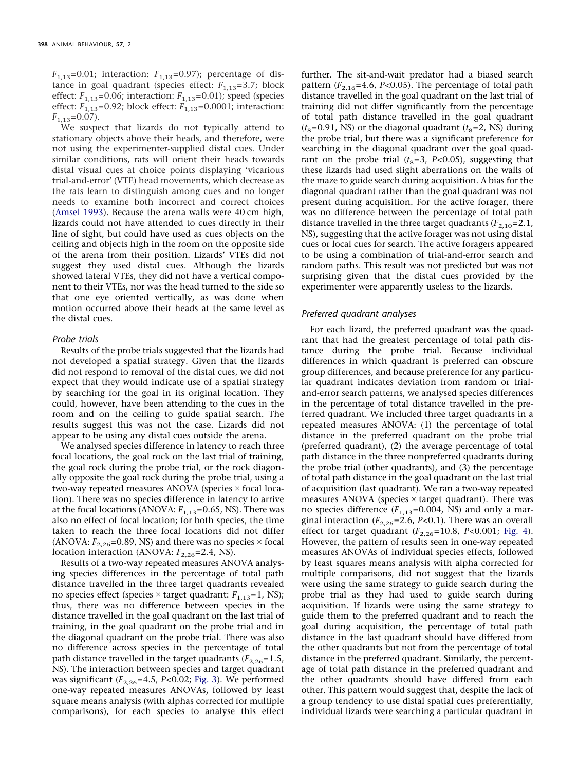$F_{1,13}$ =0.01; interaction:  $F_{1,13}$ =0.97); percentage of distance in goal quadrant (species effect:  $F_{1,13}$ =3.7; block effect:  $F_{1,13}$ =0.06; interaction:  $F_{1,13}$ =0.01); speed (species effect:  $F_{1,13}=0.92$ ; block effect:  $F_{1,13}=0.0001$ ; interaction:  $F_{1,13}=0.07$ ).

We suspect that lizards do not typically attend to stationary objects above their heads, and therefore, were not using the experimenter-supplied distal cues. Under similar conditions, rats will orient their heads towards distal visual cues at choice points displaying 'vicarious trial-and-error' (VTE) head movements, which decrease as the rats learn to distinguish among cues and no longer needs to examine both incorrect and correct choices [\(Amsel 1993\)](#page-13-0). Because the arena walls were 40 cm high, lizards could not have attended to cues directly in their line of sight, but could have used as cues objects on the ceiling and objects high in the room on the opposite side of the arena from their position. Lizards' VTEs did not suggest they used distal cues. Although the lizards showed lateral VTEs, they did not have a vertical component to their VTEs, nor was the head turned to the side so that one eye oriented vertically, as was done when motion occurred above their heads at the same level as the distal cues.

## *Probe trials*

Results of the probe trials suggested that the lizards had not developed a spatial strategy. Given that the lizards did not respond to removal of the distal cues, we did not expect that they would indicate use of a spatial strategy by searching for the goal in its original location. They could, however, have been attending to the cues in the room and on the ceiling to guide spatial search. The results suggest this was not the case. Lizards did not appear to be using any distal cues outside the arena.

We analysed species difference in latency to reach three focal locations, the goal rock on the last trial of training, the goal rock during the probe trial, or the rock diagonally opposite the goal rock during the probe trial, using a two-way repeated measures ANOVA (species  $\times$  focal location). There was no species difference in latency to arrive at the focal locations (ANOVA:  $F_{1,13}$ =0.65, NS). There was also no effect of focal location; for both species, the time taken to reach the three focal locations did not differ (ANOVA:  $F_{2,26}$ =0.89, NS) and there was no species  $\times$  focal location interaction (ANOVA:  $F_{2,26}$ =2.4, NS).

Results of a two-way repeated measures ANOVA analysing species differences in the percentage of total path distance travelled in the three target quadrants revealed no species effect (species  $\times$  target quadrant:  $F_{1,13}=1$ , NS); thus, there was no difference between species in the distance travelled in the goal quadrant on the last trial of training, in the goal quadrant on the probe trial and in the diagonal quadrant on the probe trial. There was also no difference across species in the percentage of total path distance travelled in the target quadrants  $(F_{2,26}=1.5,$ NS). The interaction between species and target quadrant was significant ( $F_{2,26}$ =4.5, *P*<0.02; [Fig. 3\)](#page-4-1). We performed one-way repeated measures ANOVAs, followed by least square means analysis (with alphas corrected for multiple comparisons), for each species to analyse this effect further. The sit-and-wait predator had a biased search pattern  $(F_{2,16}=4.6, P<0.05)$ . The percentage of total path distance travelled in the goal quadrant on the last trial of training did not differ significantly from the percentage of total path distance travelled in the goal quadrant  $(t<sub>8</sub>=0.91,$  NS) or the diagonal quadrant  $(t<sub>8</sub>=2,$  NS) during the probe trial, but there was a significant preference for searching in the diagonal quadrant over the goal quadrant on the probe trial  $(t_8=3, P<0.05)$ , suggesting that these lizards had used slight aberrations on the walls of the maze to guide search during acquisition. A bias for the diagonal quadrant rather than the goal quadrant was not present during acquisition. For the active forager, there was no difference between the percentage of total path distance travelled in the three target quadrants  $(F_{2,10}=2.1,$ NS), suggesting that the active forager was not using distal cues or local cues for search. The active foragers appeared to be using a combination of trial-and-error search and random paths. This result was not predicted but was not surprising given that the distal cues provided by the experimenter were apparently useless to the lizards.

## *Preferred quadrant analyses*

For each lizard, the preferred quadrant was the quadrant that had the greatest percentage of total path distance during the probe trial. Because individual differences in which quadrant is preferred can obscure group differences, and because preference for any particular quadrant indicates deviation from random or trialand-error search patterns, we analysed species differences in the percentage of total distance travelled in the preferred quadrant. We included three target quadrants in a repeated measures ANOVA: (1) the percentage of total distance in the preferred quadrant on the probe trial (preferred quadrant), (2) the average percentage of total path distance in the three nonpreferred quadrants during the probe trial (other quadrants), and (3) the percentage of total path distance in the goal quadrant on the last trial of acquisition (last quadrant). We ran a two-way repeated measures ANOVA (species  $\times$  target quadrant). There was no species difference  $(F_{1,13}=0.004, \text{ NS})$  and only a marginal interaction  $(F_{2,26}=2.6, P<0.1)$ . There was an overall effect for target quadrant ( $F_{2,26}$ =10.8, *P*<0.001; [Fig. 4\)](#page-6-0). However, the pattern of results seen in one-way repeated measures ANOVAs of individual species effects, followed by least squares means analysis with alpha corrected for multiple comparisons, did not suggest that the lizards were using the same strategy to guide search during the probe trial as they had used to guide search during acquisition. If lizards were using the same strategy to guide them to the preferred quadrant and to reach the goal during acquisition, the percentage of total path distance in the last quadrant should have differed from the other quadrants but not from the percentage of total distance in the preferred quadrant. Similarly, the percentage of total path distance in the preferred quadrant and the other quadrants should have differed from each other. This pattern would suggest that, despite the lack of a group tendency to use distal spatial cues preferentially, individual lizards were searching a particular quadrant in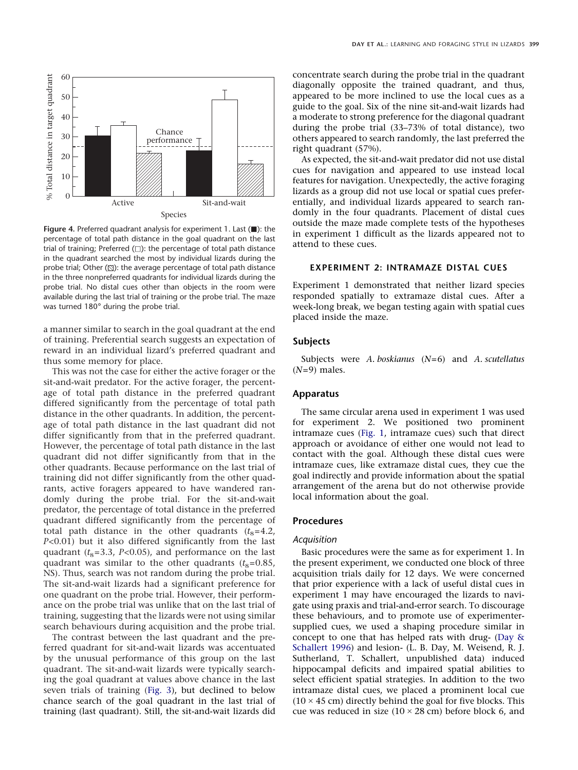<span id="page-6-0"></span>

**Figure 4.** Preferred quadrant analysis for experiment 1. Last ( $\blacksquare$ ): the percentage of total path distance in the goal quadrant on the last trial of training; Preferred  $(\square)$ : the percentage of total path distance in the quadrant searched the most by individual lizards during the probe trial; Other  $(\mathbb{S})$ : the average percentage of total path distance in the three nonpreferred quadrants for individual lizards during the probe trial. No distal cues other than objects in the room were available during the last trial of training or the probe trial. The maze was turned 180° during the probe trial.

a manner similar to search in the goal quadrant at the end of training. Preferential search suggests an expectation of reward in an individual lizard's preferred quadrant and thus some memory for place.

This was not the case for either the active forager or the sit-and-wait predator. For the active forager, the percentage of total path distance in the preferred quadrant differed significantly from the percentage of total path distance in the other quadrants. In addition, the percentage of total path distance in the last quadrant did not differ significantly from that in the preferred quadrant. However, the percentage of total path distance in the last quadrant did not differ significantly from that in the other quadrants. Because performance on the last trial of training did not differ significantly from the other quadrants, active foragers appeared to have wandered randomly during the probe trial. For the sit-and-wait predator, the percentage of total distance in the preferred quadrant differed significantly from the percentage of total path distance in the other quadrants  $(t_8=4.2,$ *P<*0.01) but it also differed significantly from the last quadrant  $(t_8=3.3, P<0.05)$ , and performance on the last quadrant was similar to the other quadrants  $(t_8=0.85)$ , NS). Thus, search was not random during the probe trial. The sit-and-wait lizards had a significant preference for one quadrant on the probe trial. However, their performance on the probe trial was unlike that on the last trial of training, suggesting that the lizards were not using similar search behaviours during acquisition and the probe trial.

The contrast between the last quadrant and the preferred quadrant for sit-and-wait lizards was accentuated by the unusual performance of this group on the last quadrant. The sit-and-wait lizards were typically searching the goal quadrant at values above chance in the last seven trials of training [\(Fig. 3\)](#page-4-1), but declined to below chance search of the goal quadrant in the last trial of training (last quadrant). Still, the sit-and-wait lizards did

concentrate search during the probe trial in the quadrant diagonally opposite the trained quadrant, and thus, appeared to be more inclined to use the local cues as a guide to the goal. Six of the nine sit-and-wait lizards had a moderate to strong preference for the diagonal quadrant during the probe trial (33–73% of total distance), two others appeared to search randomly, the last preferred the right quadrant (57%).

As expected, the sit-and-wait predator did not use distal cues for navigation and appeared to use instead local features for navigation. Unexpectedly, the active foraging lizards as a group did not use local or spatial cues preferentially, and individual lizards appeared to search randomly in the four quadrants. Placement of distal cues outside the maze made complete tests of the hypotheses in experiment 1 difficult as the lizards appeared not to attend to these cues.

## **EXPERIMENT 2: INTRAMAZE DISTAL CUES**

Experiment 1 demonstrated that neither lizard species responded spatially to extramaze distal cues. After a week-long break, we began testing again with spatial cues placed inside the maze.

## **Subjects**

Subjects were *A. boskianus* (*N*=6) and *A. scutellatus* (*N*=9) males.

## **Apparatus**

The same circular arena used in experiment 1 was used for experiment 2. We positioned two prominent intramaze cues [\(Fig. 1,](#page-2-0) intramaze cues) such that direct approach or avoidance of either one would not lead to contact with the goal. Although these distal cues were intramaze cues, like extramaze distal cues, they cue the goal indirectly and provide information about the spatial arrangement of the arena but do not otherwise provide local information about the goal.

## **Procedures**

## *Acquisition*

Basic procedures were the same as for experiment 1. In the present experiment, we conducted one block of three acquisition trials daily for 12 days. We were concerned that prior experience with a lack of useful distal cues in experiment 1 may have encouraged the lizards to navigate using praxis and trial-and-error search. To discourage these behaviours, and to promote use of experimentersupplied cues, we used a shaping procedure similar in concept to one that has helped rats with drug- [\(Day &](#page-14-2) [Schallert 1996\)](#page-14-2) and lesion- (L. B. Day, M. Weisend, R. J. Sutherland, T. Schallert, unpublished data) induced hippocampal deficits and impaired spatial abilities to select efficient spatial strategies. In addition to the two intramaze distal cues, we placed a prominent local cue  $(10 \times 45 \text{ cm})$  directly behind the goal for five blocks. This cue was reduced in size  $(10 \times 28 \text{ cm})$  before block 6, and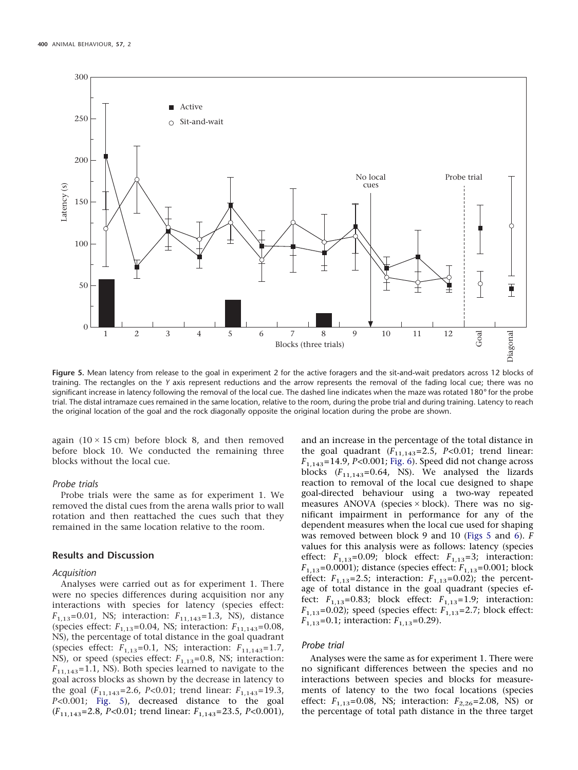<span id="page-7-0"></span>

**Figure 5.** Mean latency from release to the goal in experiment 2 for the active foragers and the sit-and-wait predators across 12 blocks of training. The rectangles on the *Y* axis represent reductions and the arrow represents the removal of the fading local cue; there was no significant increase in latency following the removal of the local cue. The dashed line indicates when the maze was rotated 180° for the probe trial. The distal intramaze cues remained in the same location, relative to the room, during the probe trial and during training. Latency to reach the original location of the goal and the rock diagonally opposite the original location during the probe are shown.

again  $(10 \times 15 \text{ cm})$  before block 8, and then removed before block 10. We conducted the remaining three blocks without the local cue.

#### *Probe trials*

Probe trials were the same as for experiment 1. We removed the distal cues from the arena walls prior to wall rotation and then reattached the cues such that they remained in the same location relative to the room.

## **Results and Discussion**

#### *Acquisition*

Analyses were carried out as for experiment 1. There were no species differences during acquisition nor any interactions with species for latency (species effect:  $F_{1,13}$ =0.01, NS; interaction:  $F_{11,143}$ =1.3, NS), distance (species effect:  $F_{1,13}=0.04$ , NS; interaction:  $F_{11,143}=0.08$ , NS), the percentage of total distance in the goal quadrant (species effect: *F*1,13=0.1, NS; interaction: *F*11,143=1.7, NS), or speed (species effect:  $F_{1,13}=0.8$ , NS; interaction:  $F_{11,143}$ =1.1, NS). Both species learned to navigate to the goal across blocks as shown by the decrease in latency to the goal  $(F_{11,143}=2.6, P<0.01$ ; trend linear:  $F_{1,143}=19.3$ , *P<*0.001; [Fig. 5\)](#page-7-0), decreased distance to the goal (*F*11,143=2.8, *P<*0.01; trend linear: *F*1,143=23.5, *P<*0.001), and an increase in the percentage of the total distance in the goal quadrant  $(F_{11,143}=2.5, P<0.01;$  trend linear: *F*1,143=14.9, *P<*0.001; [Fig. 6\)](#page-8-0). Speed did not change across blocks  $(F_{11,143}=0.64, \text{NS})$ . We analysed the lizards reaction to removal of the local cue designed to shape goal-directed behaviour using a two-way repeated measures ANOVA (species  $\times$  block). There was no significant impairment in performance for any of the dependent measures when the local cue used for shaping was removed between block 9 and 10 [\(Figs 5](#page-7-0) and [6\)](#page-8-0). *F* values for this analysis were as follows: latency (species effect:  $F_{1,13}$ =0.09; block effect:  $F_{1,13}$ =3; interaction:  $F_{1,13}$ =0.0001); distance (species effect:  $F_{1,13}$ =0.001; block effect:  $F_{1,13} = 2.5$ ; interaction:  $F_{1,13} = 0.02$ ); the percentage of total distance in the goal quadrant (species effect:  $F_{1,13} = 0.83$ ; block effect:  $F_{1,13} = 1.9$ ; interaction:  $F_{1,13}$ =0.02); speed (species effect:  $F_{1,13}$ =2.7; block effect:  $F_{1,13}=0.1$ ; interaction:  $F_{1,13}=0.29$ ). 8 9 10 11 12  $\frac{3}{5}$   $\frac{3}{5}$   $\frac{3}{5}$   $\frac{3}{5}$   $\frac{3}{5}$   $\frac{3}{5}$   $\frac{3}{5}$   $\frac{3}{5}$   $\frac{3}{5}$  active foragests the removal of the fading local cue; there was not<br>dashed line indicates when the maze was rotated 18

## *Probe trial*

Analyses were the same as for experiment 1. There were no significant differences between the species and no interactions between species and blocks for measurements of latency to the two focal locations (species effect:  $F_{1,13}$ =0.08, NS; interaction:  $F_{2,26}$ =2.08, NS) or the percentage of total path distance in the three target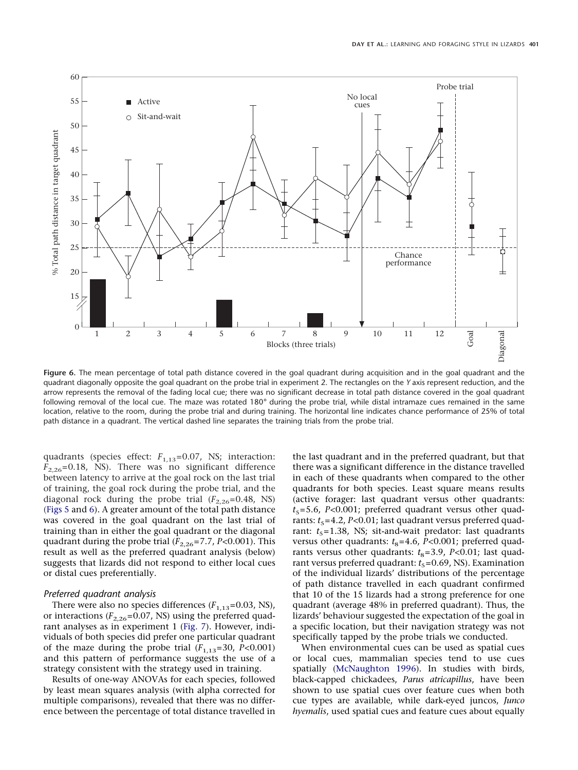<span id="page-8-0"></span>

**Figure 6.** The mean percentage of total path distance covered in the goal quadrant during acquisition and in the goal quadrant and the quadrant diagonally opposite the goal quadrant on the probe trial in experiment 2. The rectangles on the *Y* axis represent reduction, and the arrow represents the removal of the fading local cue; there was no significant decrease in total path distance covered in the goal quadrant following removal of the local cue. The maze was rotated 180° during the probe trial, while distal intramaze cues remained in the same location, relative to the room, during the probe trial and during training. The horizontal line indicates chance performance of 25% of total path distance in a quadrant. The vertical dashed line separates the training trials from the probe trial.

quadrants (species effect:  $F_{1,13}$ =0.07, NS; interaction:  $F_{2,26}$ =0.18, NS). There was no significant difference between latency to arrive at the goal rock on the last trial of training, the goal rock during the probe trial, and the diagonal rock during the probe trial  $(F_{2,26}=0.48, \text{ NS})$ [\(Figs 5](#page-7-0) and [6\)](#page-8-0). A greater amount of the total path distance was covered in the goal quadrant on the last trial of training than in either the goal quadrant or the diagonal quadrant during the probe trial ( $F_{2,26}$ =7.7, *P*<0.001). This result as well as the preferred quadrant analysis (below) suggests that lizards did not respond to either local cues or distal cues preferentially.

#### *Preferred quadrant analysis*

There were also no species differences  $(F_{1,13}=0.03, \text{NS})$ , or interactions  $(F_{2,26}=0.07, \text{NS})$  using the preferred quadrant analyses as in experiment 1 [\(Fig. 7\)](#page-9-0). However, individuals of both species did prefer one particular quadrant of the maze during the probe trial  $(F_{1,13}=30, P<0.001)$ and this pattern of performance suggests the use of a strategy consistent with the strategy used in training.

Results of one-way ANOVAs for each species, followed by least mean squares analysis (with alpha corrected for multiple comparisons), revealed that there was no difference between the percentage of total distance travelled in the last quadrant and in the preferred quadrant, but that there was a significant difference in the distance travelled in each of these quadrants when compared to the other quadrants for both species. Least square means results (active forager: last quadrant versus other quadrants:  $t_5$ =5.6, *P*<0.001; preferred quadrant versus other quadrants:  $t_5$ =4.2,  $P$ <0.01; last quadrant versus preferred quadrant:  $t_5$ =1.38, NS; sit-and-wait predator: last quadrants versus other quadrants:  $t_8$ =4.6,  $P$ <0.001; preferred quadrants versus other quadrants:  $t_8$ =3.9,  $P$ <0.01; last quadrant versus preferred quadrant:  $t<sub>5</sub>=0.69$ , NS). Examination of the individual lizards' distributions of the percentage of path distance travelled in each quadrant confirmed that 10 of the 15 lizards had a strong preference for one quadrant (average 48% in preferred quadrant). Thus, the lizards' behaviour suggested the expectation of the goal in a specific location, but their navigation strategy was not specifically tapped by the probe trials we conducted. *hyemalis*, used spatial cues and feature cues about equally Goal

When environmental cues can be used as spatial cues or local cues, mammalian species tend to use cues spatially [\(McNaughton 1996\)](#page-14-26). In studies with birds, black-capped chickadees, *Parus atricapillus*, have been shown to use spatial cues over feature cues when both cue types are available, while dark-eyed juncos, *Junco*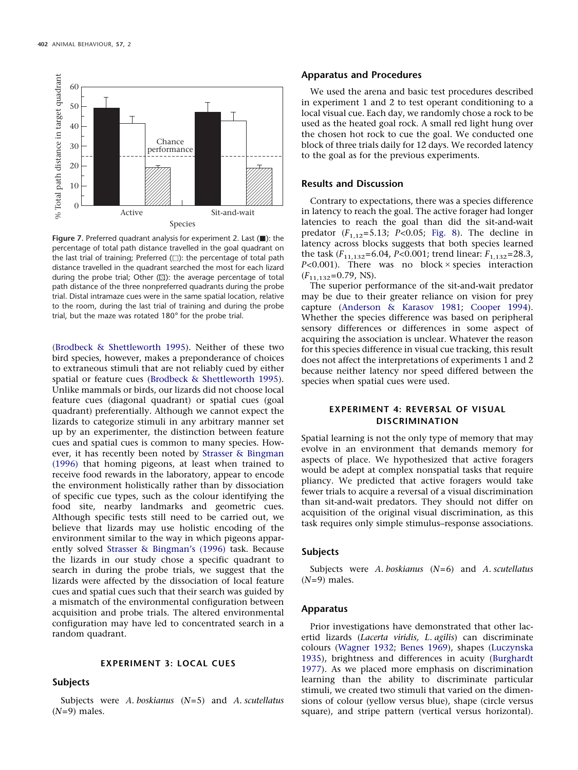<span id="page-9-0"></span>

**Figure 7.** Preferred quadrant analysis for experiment 2. Last ( $\blacksquare$ ): the percentage of total path distance travelled in the goal quadrant on the last trial of training; Preferred  $(\square)$ : the percentage of total path distance travelled in the quadrant searched the most for each lizard during the probe trial; Other  $(\mathbb{N})$ : the average percentage of total path distance of the three nonpreferred quadrants during the probe trial. Distal intramaze cues were in the same spatial location, relative to the room, during the last trial of training and during the probe trial, but the maze was rotated 180° for the probe trial.

[\(Brodbeck & Shettleworth 1995\)](#page-14-27). Neither of these two bird species, however, makes a preponderance of choices to extraneous stimuli that are not reliably cued by either spatial or feature cues [\(Brodbeck & Shettleworth 1995\)](#page-14-27). Unlike mammals or birds, our lizards did not choose local feature cues (diagonal quadrant) or spatial cues (goal quadrant) preferentially. Although we cannot expect the lizards to categorize stimuli in any arbitrary manner set up by an experimenter, the distinction between feature cues and spatial cues is common to many species. However, it has recently been noted by [Strasser & Bingman](#page-14-28) [\(1996\)](#page-14-28) that homing pigeons, at least when trained to receive food rewards in the laboratory, appear to encode the environment holistically rather than by dissociation of specific cue types, such as the colour identifying the food site, nearby landmarks and geometric cues. Although specific tests still need to be carried out, we believe that lizards may use holistic encoding of the environment similar to the way in which pigeons apparently solved [Strasser & Bingman's \(1996\)](#page-14-28) task. Because the lizards in our study chose a specific quadrant to search in during the probe trials, we suggest that the lizards were affected by the dissociation of local feature cues and spatial cues such that their search was guided by a mismatch of the environmental configuration between acquisition and probe trials. The altered environmental configuration may have led to concentrated search in a random quadrant.

## **EXPERIMENT 3: LOCAL CUES**

#### **Subjects**

Subjects were *A. boskianus* (*N*=5) and *A. scutellatus* (*N*=9) males.

#### **Apparatus and Procedures**

We used the arena and basic test procedures described in experiment 1 and 2 to test operant conditioning to a local visual cue. Each day, we randomly chose a rock to be used as the heated goal rock. A small red light hung over the chosen hot rock to cue the goal. We conducted one block of three trials daily for 12 days. We recorded latency to the goal as for the previous experiments.

## **Results and Discussion**

Contrary to expectations, there was a species difference in latency to reach the goal. The active forager had longer latencies to reach the goal than did the sit-and-wait predator (*F*1,12=5.13; *P<*0.05; [Fig. 8\)](#page-10-0). The decline in latency across blocks suggests that both species learned the task  $(F_{11,132}=6.04, P<0.001$ ; trend linear:  $F_{1,132}=28.3$ ,  $P<0.001$ ). There was no block  $\times$  species interaction  $(F_{11,132}=0.79, N\)$ .

The superior performance of the sit-and-wait predator may be due to their greater reliance on vision for prey capture [\(Anderson & Karasov 1981;](#page-14-13) [Cooper 1994\)](#page-14-19). Whether the species difference was based on peripheral sensory differences or differences in some aspect of acquiring the association is unclear. Whatever the reason for this species difference in visual cue tracking, this result does not affect the interpretations of experiments 1 and 2 because neither latency nor speed differed between the species when spatial cues were used.

## **EXPERIMENT 4: REVERSAL OF VISUAL DISCRIMINATION**

Spatial learning is not the only type of memory that may evolve in an environment that demands memory for aspects of place. We hypothesized that active foragers would be adept at complex nonspatial tasks that require pliancy. We predicted that active foragers would take fewer trials to acquire a reversal of a visual discrimination than sit-and-wait predators. They should not differ on acquisition of the original visual discrimination, as this task requires only simple stimulus–response associations.

#### **Subjects**

Subjects were *A. boskianus* (*N*=6) and *A. scutellatus* (*N*=9) males.

#### **Apparatus**

Prior investigations have demonstrated that other lacertid lizards (*Lacerta viridis, L. agilis*) can discriminate colours [\(Wagner 1932;](#page-14-29) [Benes 1969\)](#page-14-30), shapes [\(Luczynska](#page-14-31) [1935\)](#page-14-31), brightness and differences in acuity [\(Burghardt](#page-14-32) [1977\)](#page-14-32). As we placed more emphasis on discrimination learning than the ability to discriminate particular stimuli, we created two stimuli that varied on the dimensions of colour (yellow versus blue), shape (circle versus square), and stripe pattern (vertical versus horizontal).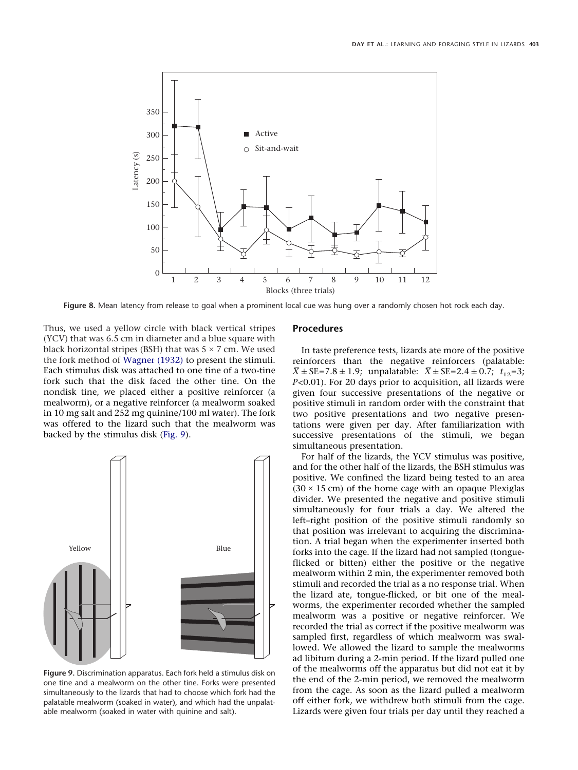<span id="page-10-0"></span>

**Figure 8.** Mean latency from release to goal when a prominent local cue was hung over a randomly chosen hot rock each day.

Thus, we used a yellow circle with black vertical stripes (YCV) that was 6.5 cm in diameter and a blue square with black horizontal stripes (BSH) that was  $5 \times 7$  cm. We used the fork method of [Wagner \(1932\)](#page-14-29) to present the stimuli. Each stimulus disk was attached to one tine of a two-tine fork such that the disk faced the other tine. On the nondisk tine, we placed either a positive reinforcer (a mealworm), or a negative reinforcer (a mealworm soaked in 10 mg salt and 252 mg quinine/100 ml water). The fork was offered to the lizard such that the mealworm was backed by the stimulus disk [\(Fig. 9\)](#page-10-1).

<span id="page-10-1"></span>

**Figure 9.** Discrimination apparatus. Each fork held a stimulus disk on one tine and a mealworm on the other tine. Forks were presented simultaneously to the lizards that had to choose which fork had the palatable mealworm (soaked in water), and which had the unpalatable mealworm (soaked in water with quinine and salt).

## **Procedures**

In taste preference tests, lizards ate more of the positive reinforcers than the negative reinforcers (palatable:  $\bar{X} \pm SE = 7.8 \pm 1.9$ ; unpalatable:  $\bar{X} \pm SE = 2.4 \pm 0.7$ ;  $t_{12} = 3$ ; *P<*0.01). For 20 days prior to acquisition, all lizards were given four successive presentations of the negative or positive stimuli in random order with the constraint that two positive presentations and two negative presentations were given per day. After familiarization with successive presentations of the stimuli, we began simultaneous presentation.

For half of the lizards, the YCV stimulus was positive, and for the other half of the lizards, the BSH stimulus was positive. We confined the lizard being tested to an area  $(30 \times 15$  cm) of the home cage with an opaque Plexiglas divider. We presented the negative and positive stimuli simultaneously for four trials a day. We altered the left–right position of the positive stimuli randomly so that position was irrelevant to acquiring the discrimination. A trial began when the experimenter inserted both forks into the cage. If the lizard had not sampled (tongueflicked or bitten) either the positive or the negative mealworm within 2 min, the experimenter removed both stimuli and recorded the trial as a no response trial. When the lizard ate, tongue-flicked, or bit one of the mealworms, the experimenter recorded whether the sampled mealworm was a positive or negative reinforcer. We recorded the trial as correct if the positive mealworm was sampled first, regardless of which mealworm was swallowed. We allowed the lizard to sample the mealworms ad libitum during a 2-min period. If the lizard pulled one of the mealworms off the apparatus but did not eat it by the end of the 2-min period, we removed the mealworm from the cage. As soon as the lizard pulled a mealworm off either fork, we withdrew both stimuli from the cage. Lizards were given four trials per day until they reached a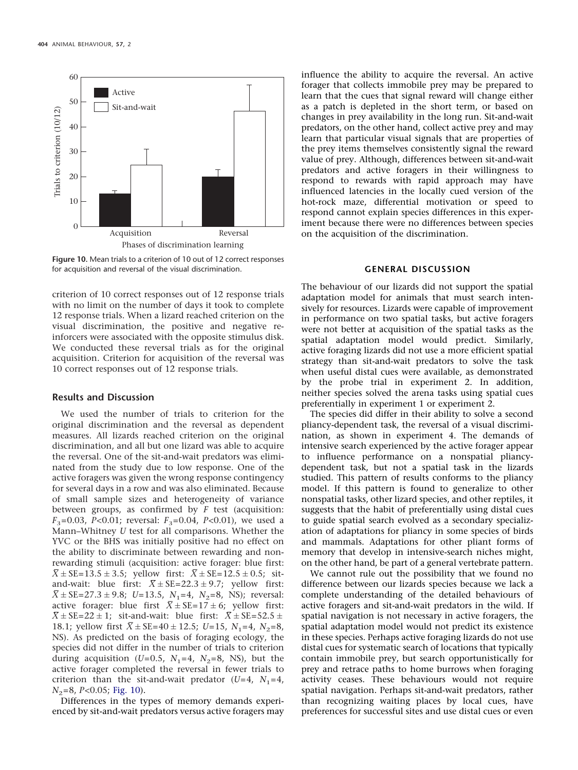<span id="page-11-0"></span>

**Figure 10.** Mean trials to a criterion of 10 out of 12 correct responses for acquisition and reversal of the visual discrimination.

criterion of 10 correct responses out of 12 response trials with no limit on the number of days it took to complete 12 response trials. When a lizard reached criterion on the visual discrimination, the positive and negative reinforcers were associated with the opposite stimulus disk. We conducted these reversal trials as for the original acquisition. Criterion for acquisition of the reversal was 10 correct responses out of 12 response trials.

## **Results and Discussion**

We used the number of trials to criterion for the original discrimination and the reversal as dependent measures. All lizards reached criterion on the original discrimination, and all but one lizard was able to acquire the reversal. One of the sit-and-wait predators was eliminated from the study due to low response. One of the active foragers was given the wrong response contingency for several days in a row and was also eliminated. Because of small sample sizes and heterogeneity of variance between groups, as confirmed by *F* test (acquisition:  $F_3$ =0.03, *P*<0.01; reversal:  $F_3$ =0.04, *P*<0.01), we used a Mann–Whitney *U* test for all comparisons. Whether the YVC or the BHS was initially positive had no effect on the ability to discriminate between rewarding and nonrewarding stimuli (acquisition: active forager: blue first:  $\bar{X} \pm SE = 13.5 \pm 3.5$ ; yellow first:  $\bar{X} \pm SE = 12.5 \pm 0.5$ ; sitand-wait: blue first:  $\bar{X} \pm SE = 22.3 \pm 9.7$ ; yellow first:  $\bar{X} \pm \text{SE} = 27.3 \pm 9.8$ ; *U*=13.5, *N*<sub>1</sub>=4, *N*<sub>2</sub>=8, NS); reversal: active forager: blue first  $\overline{X} \pm SE = 17 \pm 6$ ; yellow first:  $\overline{X}$  ± SE=22 ± 1; sit-and-wait: blue first:  $\overline{X}$  ± SE=52.5 ± 18.1; yellow first  $\bar{X} \pm SE=40\pm12.5$ ; *U*=15, *N*<sub>1</sub>=4, *N*<sub>2</sub>=8, NS). As predicted on the basis of foraging ecology, the species did not differ in the number of trials to criterion during acquisition ( $U=0.5$ ,  $N_1=4$ ,  $N_2=8$ , NS), but the active forager completed the reversal in fewer trials to criterion than the sit-and-wait predator  $(U=4, N_1=4,$ *N*2=8, *P<*0.05; [Fig. 10\)](#page-11-0).

Differences in the types of memory demands experienced by sit-and-wait predators versus active foragers may influence the ability to acquire the reversal. An active forager that collects immobile prey may be prepared to learn that the cues that signal reward will change either as a patch is depleted in the short term, or based on changes in prey availability in the long run. Sit-and-wait predators, on the other hand, collect active prey and may learn that particular visual signals that are properties of the prey items themselves consistently signal the reward value of prey. Although, differences between sit-and-wait predators and active foragers in their willingness to respond to rewards with rapid approach may have influenced latencies in the locally cued version of the hot-rock maze, differential motivation or speed to respond cannot explain species differences in this experiment because there were no differences between species on the acquisition of the discrimination.

#### **GENERAL DISCUSSION**

The behaviour of our lizards did not support the spatial adaptation model for animals that must search intensively for resources. Lizards were capable of improvement in performance on two spatial tasks, but active foragers were not better at acquisition of the spatial tasks as the spatial adaptation model would predict. Similarly, active foraging lizards did not use a more efficient spatial strategy than sit-and-wait predators to solve the task when useful distal cues were available, as demonstrated by the probe trial in experiment 2. In addition, neither species solved the arena tasks using spatial cues preferentially in experiment 1 or experiment 2.

The species did differ in their ability to solve a second pliancy-dependent task, the reversal of a visual discrimination, as shown in experiment 4. The demands of intensive search experienced by the active forager appear to influence performance on a nonspatial pliancydependent task, but not a spatial task in the lizards studied. This pattern of results conforms to the pliancy model. If this pattern is found to generalize to other nonspatial tasks, other lizard species, and other reptiles, it suggests that the habit of preferentially using distal cues to guide spatial search evolved as a secondary specialization of adaptations for pliancy in some species of birds and mammals. Adaptations for other pliant forms of memory that develop in intensive-search niches might, on the other hand, be part of a general vertebrate pattern.

We cannot rule out the possibility that we found no difference between our lizards species because we lack a complete understanding of the detailed behaviours of active foragers and sit-and-wait predators in the wild. If spatial navigation is not necessary in active foragers, the spatial adaptation model would not predict its existence in these species. Perhaps active foraging lizards do not use distal cues for systematic search of locations that typically contain immobile prey, but search opportunistically for prey and retrace paths to home burrows when foraging activity ceases. These behaviours would not require spatial navigation. Perhaps sit-and-wait predators, rather than recognizing waiting places by local cues, have preferences for successful sites and use distal cues or even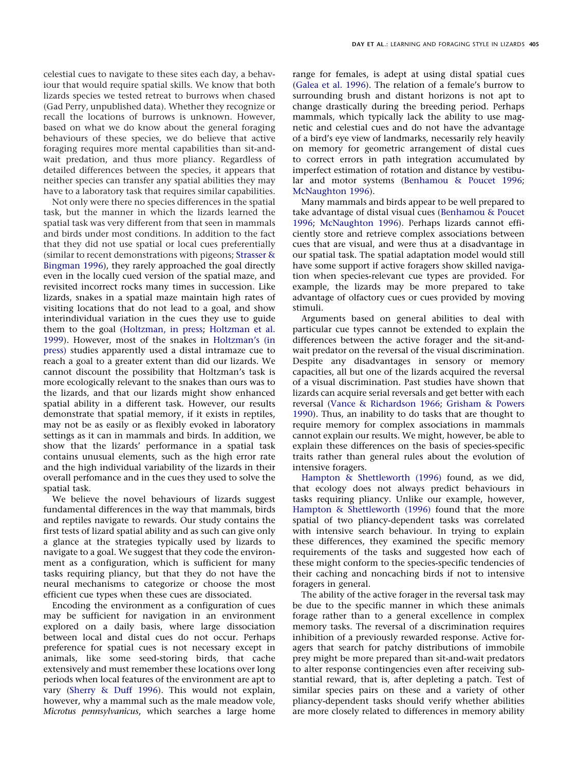celestial cues to navigate to these sites each day, a behaviour that would require spatial skills. We know that both lizards species we tested retreat to burrows when chased (Gad Perry, unpublished data). Whether they recognize or recall the locations of burrows is unknown. However, based on what we do know about the general foraging behaviours of these species, we do believe that active foraging requires more mental capabilities than sit-andwait predation, and thus more pliancy. Regardless of detailed differences between the species, it appears that neither species can transfer any spatial abilities they may have to a laboratory task that requires similar capabilities.

Not only were there no species differences in the spatial task, but the manner in which the lizards learned the spatial task was very different from that seen in mammals and birds under most conditions. In addition to the fact that they did not use spatial or local cues preferentially (similar to recent demonstrations with pigeons; [Strasser &](#page-14-28) [Bingman 1996\)](#page-14-28), they rarely approached the goal directly even in the locally cued version of the spatial maze, and revisited incorrect rocks many times in succession. Like lizards, snakes in a spatial maze maintain high rates of visiting locations that do not lead to a goal, and show interindividual variation in the cues they use to guide them to the goal [\(Holtzman, in press;](#page-14-33) [Holtzman et al.](#page-14-22) [1999\)](#page-14-22). However, most of the snakes in [Holtzman's \(in](#page-14-33) [press\)](#page-14-33) studies apparently used a distal intramaze cue to reach a goal to a greater extent than did our lizards. We cannot discount the possibility that Holtzman's task is more ecologically relevant to the snakes than ours was to the lizards, and that our lizards might show enhanced spatial ability in a different task. However, our results demonstrate that spatial memory, if it exists in reptiles, may not be as easily or as flexibly evoked in laboratory settings as it can in mammals and birds. In addition, we show that the lizards' performance in a spatial task contains unusual elements, such as the high error rate and the high individual variability of the lizards in their overall perfomance and in the cues they used to solve the spatial task.

We believe the novel behaviours of lizards suggest fundamental differences in the way that mammals, birds and reptiles navigate to rewards. Our study contains the first tests of lizard spatial ability and as such can give only a glance at the strategies typically used by lizards to navigate to a goal. We suggest that they code the environment as a configuration, which is sufficient for many tasks requiring pliancy, but that they do not have the neural mechanisms to categorize or choose the most efficient cue types when these cues are dissociated.

Encoding the environment as a configuration of cues may be sufficient for navigation in an environment explored on a daily basis, where large dissociation between local and distal cues do not occur. Perhaps preference for spatial cues is not necessary except in animals, like some seed-storing birds, that cache extensively and must remember these locations over long periods when local features of the environment are apt to vary [\(Sherry & Duff 1996\)](#page-14-5). This would not explain, however, why a mammal such as the male meadow vole, *Microtus pennsylvanicus*, which searches a large home

range for females, is adept at using distal spatial cues [\(Galea et al. 1996\)](#page-14-8). The relation of a female's burrow to surrounding brush and distant horizons is not apt to change drastically during the breeding period. Perhaps mammals, which typically lack the ability to use magnetic and celestial cues and do not have the advantage of a bird's eye view of landmarks, necessarily rely heavily on memory for geometric arrangement of distal cues to correct errors in path integration accumulated by imperfect estimation of rotation and distance by vestibular and motor systems [\(Benhamou & Poucet 1996;](#page-14-34) [McNaughton 1996\)](#page-14-26).

Many mammals and birds appear to be well prepared to take advantage of distal visual cues [\(Benhamou & Poucet](#page-14-34) [1996;](#page-14-34) [McNaughton 1996\)](#page-14-26). Perhaps lizards cannot efficiently store and retrieve complex associations between cues that are visual, and were thus at a disadvantage in our spatial task. The spatial adaptation model would still have some support if active foragers show skilled navigation when species-relevant cue types are provided. For example, the lizards may be more prepared to take advantage of olfactory cues or cues provided by moving stimuli.

Arguments based on general abilities to deal with particular cue types cannot be extended to explain the differences between the active forager and the sit-andwait predator on the reversal of the visual discrimination. Despite any disadvantages in sensory or memory capacities, all but one of the lizards acquired the reversal of a visual discrimination. Past studies have shown that lizards can acquire serial reversals and get better with each reversal [\(Vance & Richardson 1966;](#page-14-35) [Grisham & Powers](#page-14-23) [1990\)](#page-14-23). Thus, an inability to do tasks that are thought to require memory for complex associations in mammals cannot explain our results. We might, however, be able to explain these differences on the basis of species-specific traits rather than general rules about the evolution of intensive foragers.

[Hampton & Shettleworth \(1996\)](#page-14-36) found, as we did, that ecology does not always predict behaviours in tasks requiring pliancy. Unlike our example, however, [Hampton & Shettleworth \(1996\)](#page-14-36) found that the more spatial of two pliancy-dependent tasks was correlated with intensive search behaviour. In trying to explain these differences, they examined the specific memory requirements of the tasks and suggested how each of these might conform to the species-specific tendencies of their caching and noncaching birds if not to intensive foragers in general.

The ability of the active forager in the reversal task may be due to the specific manner in which these animals forage rather than to a general excellence in complex memory tasks. The reversal of a discrimination requires inhibition of a previously rewarded response. Active foragers that search for patchy distributions of immobile prey might be more prepared than sit-and-wait predators to alter response contingencies even after receiving substantial reward, that is, after depleting a patch. Test of similar species pairs on these and a variety of other pliancy-dependent tasks should verify whether abilities are more closely related to differences in memory ability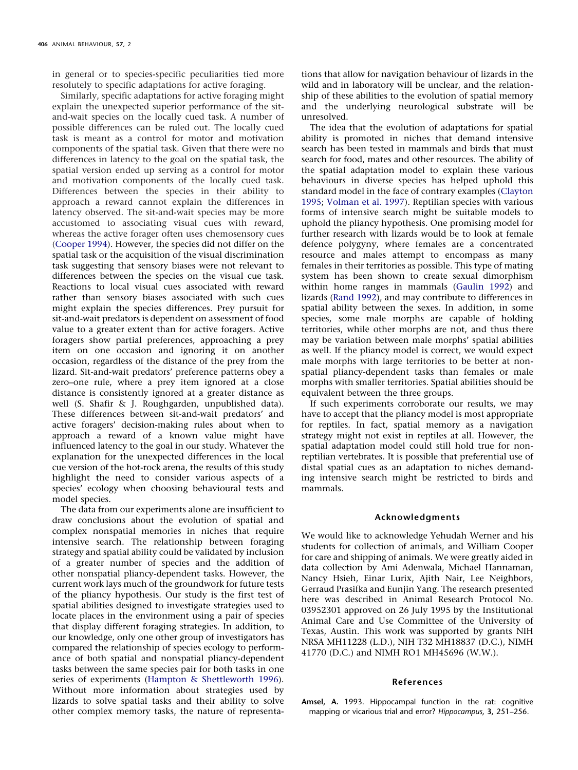in general or to species-specific peculiarities tied more resolutely to specific adaptations for active foraging.

Similarly, specific adaptations for active foraging might explain the unexpected superior performance of the sitand-wait species on the locally cued task. A number of possible differences can be ruled out. The locally cued task is meant as a control for motor and motivation components of the spatial task. Given that there were no differences in latency to the goal on the spatial task, the spatial version ended up serving as a control for motor and motivation components of the locally cued task. Differences between the species in their ability to approach a reward cannot explain the differences in latency observed. The sit-and-wait species may be more accustomed to associating visual cues with reward, whereas the active forager often uses chemosensory cues [\(Cooper 1994\)](#page-14-19). However, the species did not differ on the spatial task or the acquisition of the visual discrimination task suggesting that sensory biases were not relevant to differences between the species on the visual cue task. Reactions to local visual cues associated with reward rather than sensory biases associated with such cues might explain the species differences. Prey pursuit for sit-and-wait predators is dependent on assessment of food value to a greater extent than for active foragers. Active foragers show partial preferences, approaching a prey item on one occasion and ignoring it on another occasion, regardless of the distance of the prey from the lizard. Sit-and-wait predators' preference patterns obey a zero–one rule, where a prey item ignored at a close distance is consistently ignored at a greater distance as well (S. Shafir & J. Roughgarden, unpublished data). These differences between sit-and-wait predators' and active foragers' decision-making rules about when to approach a reward of a known value might have influenced latency to the goal in our study. Whatever the explanation for the unexpected differences in the local cue version of the hot-rock arena, the results of this study highlight the need to consider various aspects of a species' ecology when choosing behavioural tests and model species.

The data from our experiments alone are insufficient to draw conclusions about the evolution of spatial and complex nonspatial memories in niches that require intensive search. The relationship between foraging strategy and spatial ability could be validated by inclusion of a greater number of species and the addition of other nonspatial pliancy-dependent tasks. However, the current work lays much of the groundwork for future tests of the pliancy hypothesis. Our study is the first test of spatial abilities designed to investigate strategies used to locate places in the environment using a pair of species that display different foraging strategies. In addition, to our knowledge, only one other group of investigators has compared the relationship of species ecology to performance of both spatial and nonspatial pliancy-dependent tasks between the same species pair for both tasks in one series of experiments [\(Hampton & Shettleworth 1996\)](#page-14-36). Without more information about strategies used by lizards to solve spatial tasks and their ability to solve other complex memory tasks, the nature of representations that allow for navigation behaviour of lizards in the wild and in laboratory will be unclear, and the relationship of these abilities to the evolution of spatial memory and the underlying neurological substrate will be unresolved.

The idea that the evolution of adaptations for spatial ability is promoted in niches that demand intensive search has been tested in mammals and birds that must search for food, mates and other resources. The ability of the spatial adaptation model to explain these various behaviours in diverse species has helped uphold this standard model in the face of contrary examples [\(Clayton](#page-14-37) [1995;](#page-14-37) [Volman et al. 1997\)](#page-14-38). Reptilian species with various forms of intensive search might be suitable models to uphold the pliancy hypothesis. One promising model for further research with lizards would be to look at female defence polygyny, where females are a concentrated resource and males attempt to encompass as many females in their territories as possible. This type of mating system has been shown to create sexual dimorphism within home ranges in mammals [\(Gaulin 1992\)](#page-14-10) and lizards [\(Rand 1992\)](#page-14-39), and may contribute to differences in spatial ability between the sexes. In addition, in some species, some male morphs are capable of holding territories, while other morphs are not, and thus there may be variation between male morphs' spatial abilities as well. If the pliancy model is correct, we would expect male morphs with large territories to be better at nonspatial pliancy-dependent tasks than females or male morphs with smaller territories. Spatial abilities should be equivalent between the three groups.

If such experiments corroborate our results, we may have to accept that the pliancy model is most appropriate for reptiles. In fact, spatial memory as a navigation strategy might not exist in reptiles at all. However, the spatial adaptation model could still hold true for nonreptilian vertebrates. It is possible that preferential use of distal spatial cues as an adaptation to niches demanding intensive search might be restricted to birds and mammals.

#### **Acknowledgments**

We would like to acknowledge Yehudah Werner and his students for collection of animals, and William Cooper for care and shipping of animals. We were greatly aided in data collection by Ami Adenwala, Michael Hannaman, Nancy Hsieh, Einar Lurix, Ajith Nair, Lee Neighbors, Gerraud Prasifka and Eunjin Yang. The research presented here was described in Animal Research Protocol No. 03952301 approved on 26 July 1995 by the Institutional Animal Care and Use Committee of the University of Texas, Austin. This work was supported by grants NIH NRSA MH11228 (L.D.), NIH T32 MH18837 (D.C.), NIMH 41770 (D.C.) and NIMH RO1 MH45696 (W.W.).

#### **References**

<span id="page-13-0"></span>**Amsel, A.** 1993. Hippocampal function in the rat: cognitive mapping or vicarious trial and error? *Hippocampus*, **3,** 251–256.